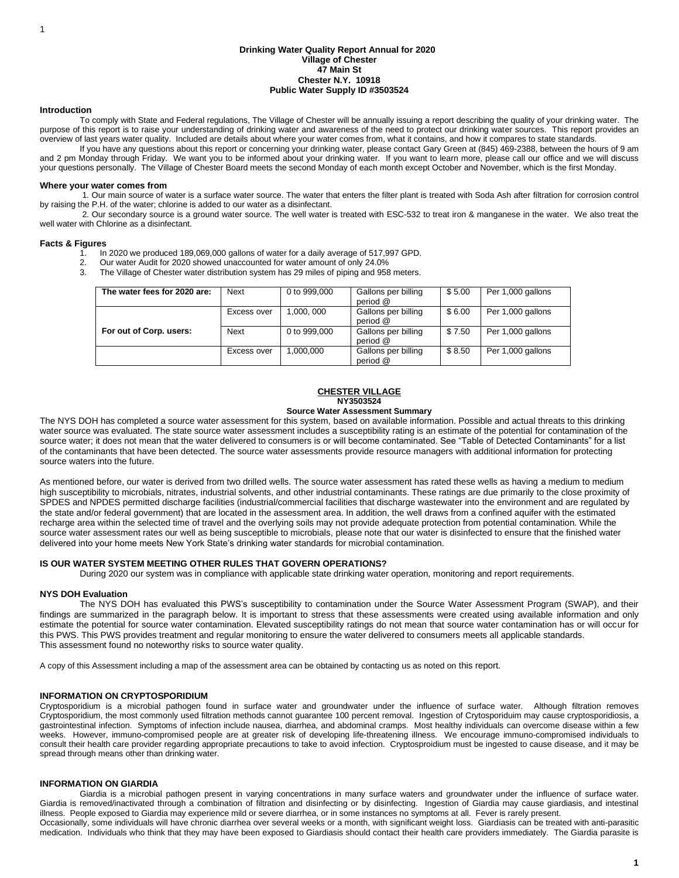#### **Drinking Water Quality Report Annual for 2020 Village of Chester 47 Main St Chester N.Y. 10918 Public Water Supply ID #3503524**

#### **Introduction**

To comply with State and Federal regulations, The Village of Chester will be annually issuing a report describing the quality of your drinking water. The purpose of this report is to raise your understanding of drinking water and awareness of the need to protect our drinking water sources. This report provides an overview of last years water quality. Included are details about where your water comes from, what it contains, and how it compares to state standards.

If you have any questions about this report or concerning your drinking water, please contact Gary Green at (845) 469-2388, between the hours of 9 am and 2 pm Monday through Friday. We want you to be informed about your drinking water. If you want to learn more, please call our office and we will discuss your questions personally. The Village of Chester Board meets the second Monday of each month except October and November, which is the first Monday.

#### **Where your water comes from**

1. Our main source of water is a surface water source. The water that enters the filter plant is treated with Soda Ash after filtration for corrosion control by raising the P.H. of the water; chlorine is added to our water as a disinfectant.

2. Our secondary source is a ground water source. The well water is treated with ESC-532 to treat iron & manganese in the water. We also treat the well water with Chlorine as a disinfectant.

#### **Facts & Figures**

- 1. In 2020 we produced 189,069,000 gallons of water for a daily average of 517,997 GPD.
- 2. Our water Audit for 2020 showed unaccounted for water amount of only 24.0%<br>3. The Village of Chester water distribution system has 29 miles of piping and 958
	- The Village of Chester water distribution system has 29 miles of piping and 958 meters.

| The water fees for 2020 are: | Next        | 0 to 999,000 | Gallons per billing<br>period @ | \$5.00 | Per 1,000 gallons |
|------------------------------|-------------|--------------|---------------------------------|--------|-------------------|
|                              | Excess over | 1.000, 000   | Gallons per billing<br>period @ | \$6.00 | Per 1,000 gallons |
| For out of Corp. users:      | Next        | 0 to 999,000 | Gallons per billing<br>period @ | \$7.50 | Per 1,000 gallons |
|                              | Excess over | ,000,000     | Gallons per billing<br>period @ | \$8.50 | Per 1,000 gallons |

#### **CHESTER VILLAGE NY3503524**

## **Source Water Assessment Summary**

The NYS DOH has completed a source water assessment for this system, based on available information. Possible and actual threats to this drinking water source was evaluated. The state source water assessment includes a susceptibility rating is an estimate of the potential for contamination of the source water; it does not mean that the water delivered to consumers is or will become contaminated. See "Table of Detected Contaminants" for a list of the contaminants that have been detected. The source water assessments provide resource managers with additional information for protecting source waters into the future.

As mentioned before, our water is derived from two drilled wells. The source water assessment has rated these wells as having a medium to medium high susceptibility to microbials, nitrates, industrial solvents, and other industrial contaminants. These ratings are due primarily to the close proximity of SPDES and NPDES permitted discharge facilities (industrial/commercial facilities that discharge wastewater into the environment and are regulated by the state and/or federal government) that are located in the assessment area. In addition, the well draws from a confined aquifer with the estimated recharge area within the selected time of travel and the overlying soils may not provide adequate protection from potential contamination. While the source water assessment rates our well as being susceptible to microbials, please note that our water is disinfected to ensure that the finished water delivered into your home meets New York State's drinking water standards for microbial contamination.

#### **IS OUR WATER SYSTEM MEETING OTHER RULES THAT GOVERN OPERATIONS?**

During 2020 our system was in compliance with applicable state drinking water operation, monitoring and report requirements.

#### **NYS DOH Evaluation**

The NYS DOH has evaluated this PWS's susceptibility to contamination under the Source Water Assessment Program (SWAP), and their findings are summarized in the paragraph below. It is important to stress that these assessments were created using available information and only estimate the potential for source water contamination. Elevated susceptibility ratings do not mean that source water contamination has or will occur for this PWS. This PWS provides treatment and regular monitoring to ensure the water delivered to consumers meets all applicable standards. This assessment found no noteworthy risks to source water quality.

A copy of this Assessment including a map of the assessment area can be obtained by contacting us as noted on this report.

#### **INFORMATION ON CRYPTOSPORIDIUM**

Cryptosporidium is a microbial pathogen found in surface water and groundwater under the influence of surface water. Although filtration removes Cryptosporidium, the most commonly used filtration methods cannot guarantee 100 percent removal. Ingestion of Crytosporiduim may cause cryptosporidiosis, a gastrointestinal infection. Symptoms of infection include nausea, diarrhea, and abdominal cramps. Most healthy individuals can overcome disease within a few weeks. However, immuno-compromised people are at greater risk of developing life-threatening illness. We encourage immuno-compromised individuals to consult their health care provider regarding appropriate precautions to take to avoid infection. Cryptosproidium must be ingested to cause disease, and it may be spread through means other than drinking water.

#### **INFORMATION ON GIARDIA**

Giardia is a microbial pathogen present in varying concentrations in many surface waters and groundwater under the influence of surface water. Giardia is removed/inactivated through a combination of filtration and disinfecting or by disinfecting. Ingestion of Giardia may cause giardiasis, and intestinal illness. People exposed to Giardia may experience mild or severe diarrhea, or in some instances no symptoms at all. Fever is rarely present. Occasionally, some individuals will have chronic diarrhea over several weeks or a month, with significant weight loss. Giardiasis can be treated with anti-parasitic

medication. Individuals who think that they may have been exposed to Giardiasis should contact their health care providers immediately. The Giardia parasite is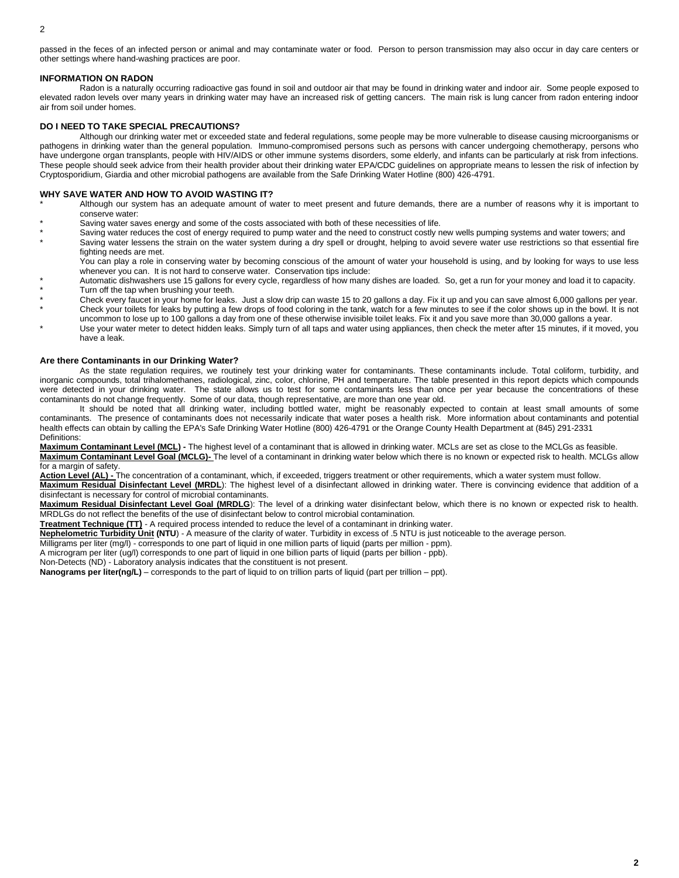passed in the feces of an infected person or animal and may contaminate water or food. Person to person transmission may also occur in day care centers or other settings where hand-washing practices are poor.

#### **INFORMATION ON RADON**

Radon is a naturally occurring radioactive gas found in soil and outdoor air that may be found in drinking water and indoor air. Some people exposed to elevated radon levels over many years in drinking water may have an increased risk of getting cancers. The main risk is lung cancer from radon entering indoor air from soil under homes.

## **DO I NEED TO TAKE SPECIAL PRECAUTIONS?**

Although our drinking water met or exceeded state and federal regulations, some people may be more vulnerable to disease causing microorganisms or pathogens in drinking water than the general population. Immuno-compromised persons such as persons with cancer undergoing chemotherapy, persons who have undergone organ transplants, people with HIV/AIDS or other immune systems disorders, some elderly, and infants can be particularly at risk from infections. These people should seek advice from their health provider about their drinking water EPA/CDC guidelines on appropriate means to lessen the risk of infection by Cryptosporidium, Giardia and other microbial pathogens are available from the Safe Drinking Water Hotline (800) 426-4791.

## **WHY SAVE WATER AND HOW TO AVOID WASTING IT?**

- Although our system has an adequate amount of water to meet present and future demands, there are a number of reasons why it is important to conserve water:
- Saving water saves energy and some of the costs associated with both of these necessities of life.
- Saving water reduces the cost of energy required to pump water and the need to construct costly new wells pumping systems and water towers; and Saving water lessens the strain on the water system during a dry spell or drought, helping to avoid severe water use restrictions so that essential fire fighting needs are met.

You can play a role in conserving water by becoming conscious of the amount of water your household is using, and by looking for ways to use less whenever you can. It is not hard to conserve water. Conservation tips include:

- Automatic dishwashers use 15 gallons for every cycle, regardless of how many dishes are loaded. So, get a run for your money and load it to capacity. Turn off the tap when brushing your teeth.
- Check every faucet in your home for leaks. Just a slow drip can waste 15 to 20 gallons a day. Fix it up and you can save almost 6,000 gallons per year. Check your toilets for leaks by putting a few drops of food coloring in the tank, watch for a few minutes to see if the color shows up in the bowl. It is not
- uncommon to lose up to 100 gallons a day from one of these otherwise invisible toilet leaks. Fix it and you save more than 30,000 gallons a year. Use your water meter to detect hidden leaks. Simply turn of all taps and water using appliances, then check the meter after 15 minutes, if it moved, you have a leak.

## **Are there Contaminants in our Drinking Water?**

As the state regulation requires, we routinely test your drinking water for contaminants. These contaminants include. Total coliform, turbidity, and inorganic compounds, total trihalomethanes, radiological, zinc, color, chlorine, PH and temperature. The table presented in this report depicts which compounds were detected in your drinking water. The state allows us to test for some contaminants less than once per year because the concentrations of these contaminants do not change frequently. Some of our data, though representative, are more than one year old.

It should be noted that all drinking water, including bottled water, might be reasonably expected to contain at least small amounts of some contaminants. The presence of contaminants does not necessarily indicate that water poses a health risk. More information about contaminants and potential health effects can obtain by calling the EPA's Safe Drinking Water Hotline (800) 426-4791 or the Orange County Health Department at (845) 291-2331 Definitions:

**Maximum Contaminant Level (MCL) -** The highest level of a contaminant that is allowed in drinking water. MCLs are set as close to the MCLGs as feasible.

**Maximum Contaminant Level Goal (MCLG)-** The level of a contaminant in drinking water below which there is no known or expected risk to health. MCLGs allow for a margin of safety.

**Action Level (AL) -** The concentration of a contaminant, which, if exceeded, triggers treatment or other requirements, which a water system must follow. **Maximum Residual Disinfectant Level (MRDL**): The highest level of a disinfectant allowed in drinking water. There is convincing evidence that addition of a

disinfectant is necessary for control of microbial contaminants.

**Maximum Residual Disinfectant Level Goal (MRDLG**): The level of a drinking water disinfectant below, which there is no known or expected risk to health. MRDLGs do not reflect the benefits of the use of disinfectant below to control microbial contamination.

**Treatment Technique (TT)** - A required process intended to reduce the level of a contaminant in drinking water.

**Nephelometric Turbidity Unit (NTU**) - A measure of the clarity of water. Turbidity in excess of .5 NTU is just noticeable to the average person.

Milligrams per liter (mg/l) - corresponds to one part of liquid in one million parts of liquid (parts per million - ppm).

A microgram per liter (ug/l) corresponds to one part of liquid in one billion parts of liquid (parts per billion - ppb).

Non-Detects (ND) - Laboratory analysis indicates that the constituent is not present.

**Nanograms per liter(ng/L)** – corresponds to the part of liquid to on trillion parts of liquid (part per trillion – ppt).